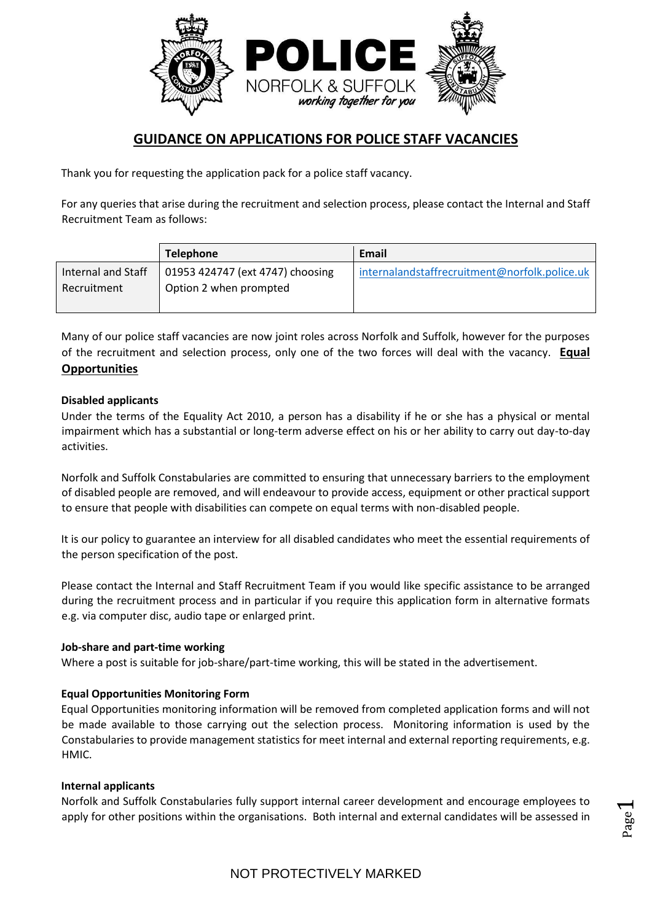

# **GUIDANCE ON APPLICATIONS FOR POLICE STAFF VACANCIES**

Thank you for requesting the application pack for a police staff vacancy.

For any queries that arise during the recruitment and selection process, please contact the Internal and Staff Recruitment Team as follows:

|                                   | <b>Telephone</b>                                           | Email                                         |
|-----------------------------------|------------------------------------------------------------|-----------------------------------------------|
| Internal and Staff<br>Recruitment | 01953 424747 (ext 4747) choosing<br>Option 2 when prompted | internalandstaffrecruitment@norfolk.police.uk |

Many of our police staff vacancies are now joint roles across Norfolk and Suffolk, however for the purposes of the recruitment and selection process, only one of the two forces will deal with the vacancy. **Equal Opportunities**

# **Disabled applicants**

Under the terms of the Equality Act 2010, a person has a disability if he or she has a physical or mental impairment which has a substantial or long-term adverse effect on his or her ability to carry out day-to-day activities.

Norfolk and Suffolk Constabularies are committed to ensuring that unnecessary barriers to the employment of disabled people are removed, and will endeavour to provide access, equipment or other practical support to ensure that people with disabilities can compete on equal terms with non-disabled people.

It is our policy to guarantee an interview for all disabled candidates who meet the essential requirements of the person specification of the post.

Please contact the Internal and Staff Recruitment Team if you would like specific assistance to be arranged during the recruitment process and in particular if you require this application form in alternative formats e.g. via computer disc, audio tape or enlarged print.

## **Job-share and part-time working**

Where a post is suitable for job-share/part-time working, this will be stated in the advertisement.

## **Equal Opportunities Monitoring Form**

Equal Opportunities monitoring information will be removed from completed application forms and will not be made available to those carrying out the selection process. Monitoring information is used by the Constabularies to provide management statistics for meet internal and external reporting requirements, e.g. HMIC.

## **Internal applicants**

Norfolk and Suffolk Constabularies fully support internal career development and encourage employees to apply for other positions within the organisations. Both internal and external candidates will be assessed in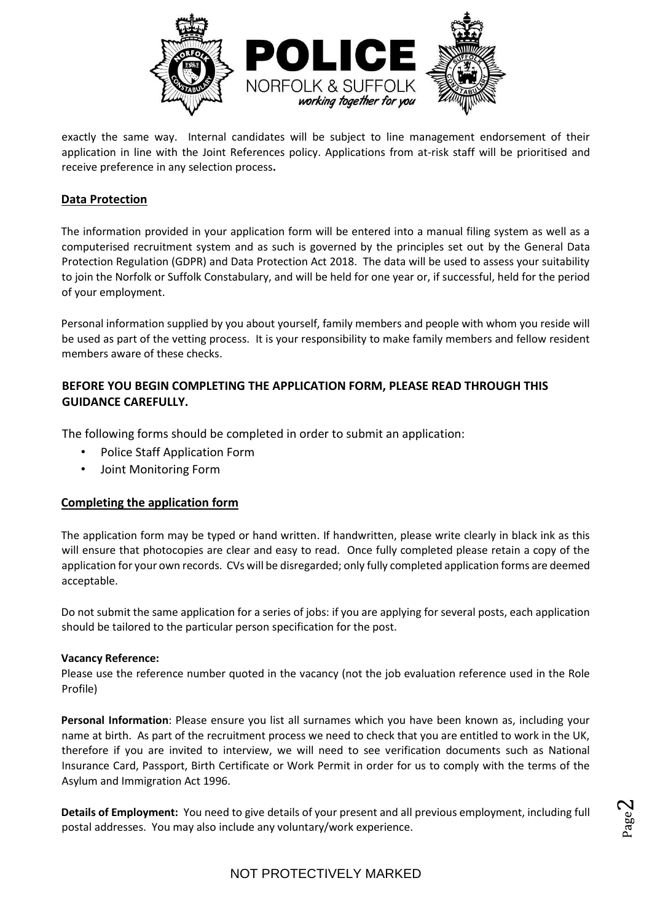

exactly the same way. Internal candidates will be subject to line management endorsement of their application in line with the Joint References policy. Applications from at-risk staff will be prioritised and receive preference in any selection process**.** 

# **Data Protection**

The information provided in your application form will be entered into a manual filing system as well as a computerised recruitment system and as such is governed by the principles set out by the General Data Protection Regulation (GDPR) and Data Protection Act 2018. The data will be used to assess your suitability to join the Norfolk or Suffolk Constabulary, and will be held for one year or, if successful, held for the period of your employment.

Personal information supplied by you about yourself, family members and people with whom you reside will be used as part of the vetting process. It is your responsibility to make family members and fellow resident members aware of these checks.

# **BEFORE YOU BEGIN COMPLETING THE APPLICATION FORM, PLEASE READ THROUGH THIS GUIDANCE CAREFULLY.**

The following forms should be completed in order to submit an application:

- Police Staff Application Form
- Joint Monitoring Form

# **Completing the application form**

The application form may be typed or hand written. If handwritten, please write clearly in black ink as this will ensure that photocopies are clear and easy to read. Once fully completed please retain a copy of the application for your own records. CVs will be disregarded; only fully completed application forms are deemed acceptable.

Do not submit the same application for a series of jobs: if you are applying for several posts, each application should be tailored to the particular person specification for the post.

## **Vacancy Reference:**

Please use the reference number quoted in the vacancy (not the job evaluation reference used in the Role Profile)

**Personal Information**: Please ensure you list all surnames which you have been known as, including your name at birth. As part of the recruitment process we need to check that you are entitled to work in the UK, therefore if you are invited to interview, we will need to see verification documents such as National Insurance Card, Passport, Birth Certificate or Work Permit in order for us to comply with the terms of the Asylum and Immigration Act 1996.

**Details of Employment:** You need to give details of your present and all previous employment, including full postal addresses. You may also include any voluntary/work experience.

$$
_{\rm Page}2
$$

# NOT PROTECTIVELY MARKED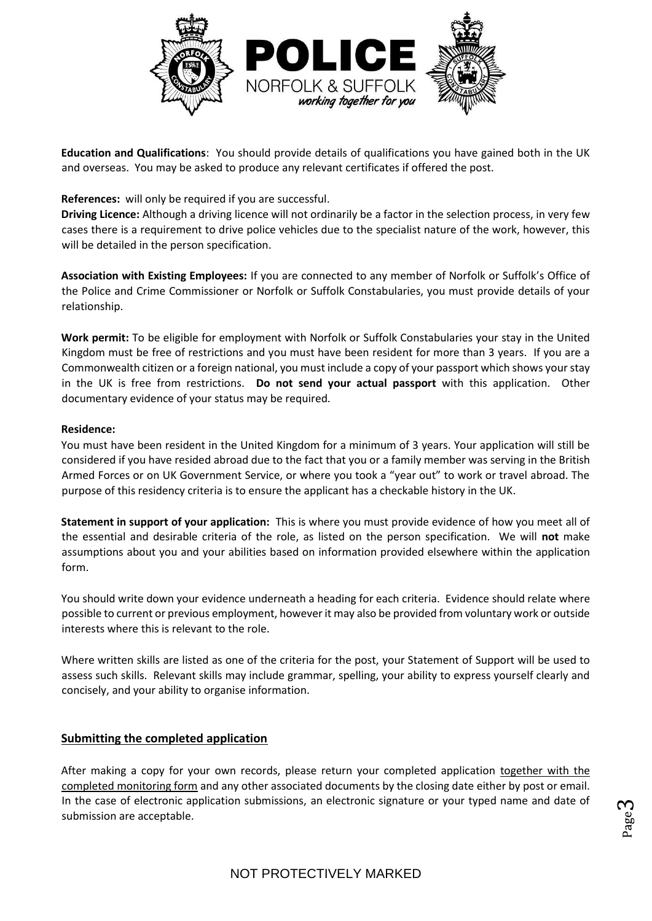

**Education and Qualifications**: You should provide details of qualifications you have gained both in the UK and overseas. You may be asked to produce any relevant certificates if offered the post.

# **References:** will only be required if you are successful.

**Driving Licence:** Although a driving licence will not ordinarily be a factor in the selection process, in very few cases there is a requirement to drive police vehicles due to the specialist nature of the work, however, this will be detailed in the person specification.

**Association with Existing Employees:** If you are connected to any member of Norfolk or Suffolk's Office of the Police and Crime Commissioner or Norfolk or Suffolk Constabularies, you must provide details of your relationship.

**Work permit:** To be eligible for employment with Norfolk or Suffolk Constabularies your stay in the United Kingdom must be free of restrictions and you must have been resident for more than 3 years. If you are a Commonwealth citizen or a foreign national, you must include a copy of your passport which shows your stay in the UK is free from restrictions. **Do not send your actual passport** with this application. Other documentary evidence of your status may be required.

## **Residence:**

You must have been resident in the United Kingdom for a minimum of 3 years. Your application will still be considered if you have resided abroad due to the fact that you or a family member was serving in the British Armed Forces or on UK Government Service, or where you took a "year out" to work or travel abroad. The purpose of this residency criteria is to ensure the applicant has a checkable history in the UK.

**Statement in support of your application:** This is where you must provide evidence of how you meet all of the essential and desirable criteria of the role, as listed on the person specification. We will **not** make assumptions about you and your abilities based on information provided elsewhere within the application form.

You should write down your evidence underneath a heading for each criteria. Evidence should relate where possible to current or previous employment, however it may also be provided from voluntary work or outside interests where this is relevant to the role.

Where written skills are listed as one of the criteria for the post, your Statement of Support will be used to assess such skills. Relevant skills may include grammar, spelling, your ability to express yourself clearly and concisely, and your ability to organise information.

# **Submitting the completed application**

After making a copy for your own records, please return your completed application together with the completed monitoring form and any other associated documents by the closing date either by post or email. In the case of electronic application submissions, an electronic signature or your typed name and date of submission are acceptable.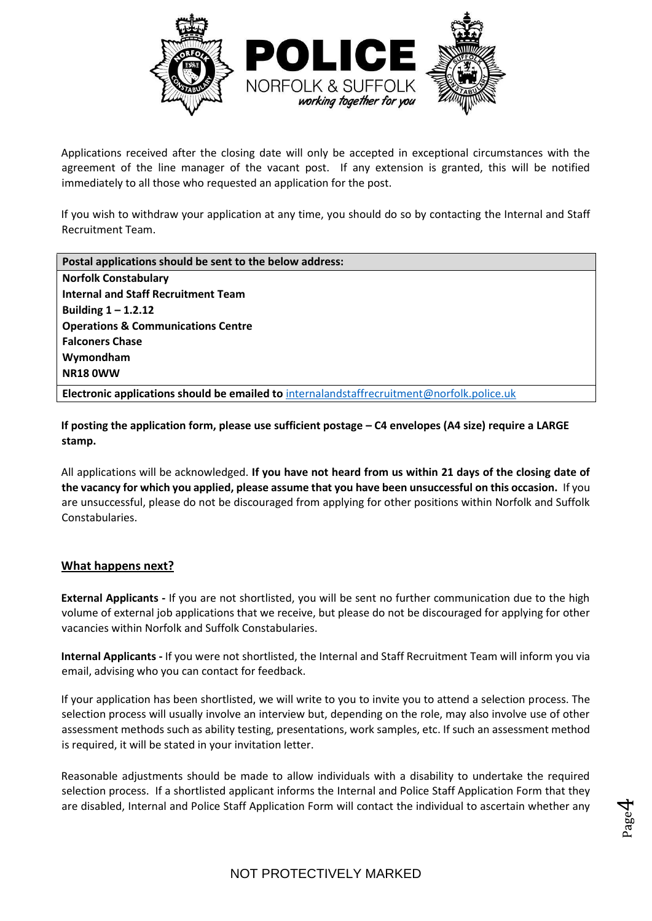

Applications received after the closing date will only be accepted in exceptional circumstances with the agreement of the line manager of the vacant post. If any extension is granted, this will be notified immediately to all those who requested an application for the post.

If you wish to withdraw your application at any time, you should do so by contacting the Internal and Staff Recruitment Team.

| Postal applications should be sent to the below address:                                     |  |  |
|----------------------------------------------------------------------------------------------|--|--|
| <b>Norfolk Constabulary</b>                                                                  |  |  |
| <b>Internal and Staff Recruitment Team</b>                                                   |  |  |
| Building $1 - 1.2.12$                                                                        |  |  |
| <b>Operations &amp; Communications Centre</b>                                                |  |  |
| <b>Falconers Chase</b>                                                                       |  |  |
| Wymondham                                                                                    |  |  |
| <b>NR18 0WW</b>                                                                              |  |  |
| Electronic applications should be emailed to internal and staffrecruitment@norfolk.police.uk |  |  |

**If posting the application form, please use sufficient postage – C4 envelopes (A4 size) require a LARGE stamp.** 

All applications will be acknowledged. **If you have not heard from us within 21 days of the closing date of the vacancy for which you applied, please assume that you have been unsuccessful on this occasion.** If you are unsuccessful, please do not be discouraged from applying for other positions within Norfolk and Suffolk Constabularies.

# **What happens next?**

**External Applicants -** If you are not shortlisted, you will be sent no further communication due to the high volume of external job applications that we receive, but please do not be discouraged for applying for other vacancies within Norfolk and Suffolk Constabularies.

**Internal Applicants -** If you were not shortlisted, the Internal and Staff Recruitment Team will inform you via email, advising who you can contact for feedback.

If your application has been shortlisted, we will write to you to invite you to attend a selection process. The selection process will usually involve an interview but, depending on the role, may also involve use of other assessment methods such as ability testing, presentations, work samples, etc. If such an assessment method is required, it will be stated in your invitation letter.

Reasonable adjustments should be made to allow individuals with a disability to undertake the required selection process. If a shortlisted applicant informs the Internal and Police Staff Application Form that they are disabled, Internal and Police Staff Application Form will contact the individual to ascertain whether any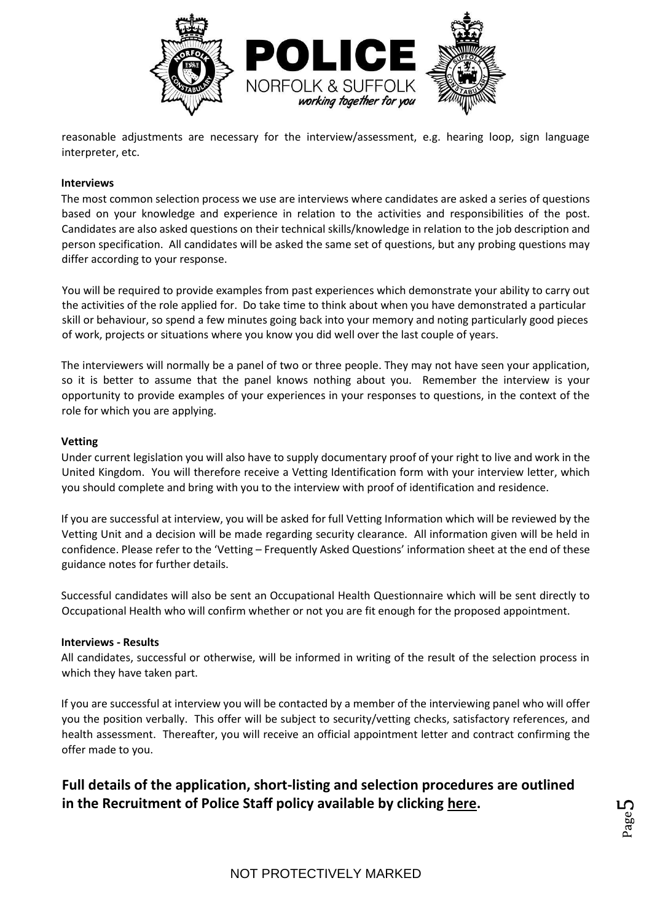

reasonable adjustments are necessary for the interview/assessment, e.g. hearing loop, sign language interpreter, etc.

### **Interviews**

The most common selection process we use are interviews where candidates are asked a series of questions based on your knowledge and experience in relation to the activities and responsibilities of the post. Candidates are also asked questions on their technical skills/knowledge in relation to the job description and person specification. All candidates will be asked the same set of questions, but any probing questions may differ according to your response.

You will be required to provide examples from past experiences which demonstrate your ability to carry out the activities of the role applied for. Do take time to think about when you have demonstrated a particular skill or behaviour, so spend a few minutes going back into your memory and noting particularly good pieces of work, projects or situations where you know you did well over the last couple of years.

The interviewers will normally be a panel of two or three people. They may not have seen your application, so it is better to assume that the panel knows nothing about you. Remember the interview is your opportunity to provide examples of your experiences in your responses to questions, in the context of the role for which you are applying.

#### **Vetting**

Under current legislation you will also have to supply documentary proof of your right to live and work in the United Kingdom. You will therefore receive a Vetting Identification form with your interview letter, which you should complete and bring with you to the interview with proof of identification and residence.

If you are successful at interview, you will be asked for full Vetting Information which will be reviewed by the Vetting Unit and a decision will be made regarding security clearance. All information given will be held in confidence. Please refer to the 'Vetting – Frequently Asked Questions' information sheet at the end of these guidance notes for further details.

Successful candidates will also be sent an Occupational Health Questionnaire which will be sent directly to Occupational Health who will confirm whether or not you are fit enough for the proposed appointment.

#### **Interviews - Results**

All candidates, successful or otherwise, will be informed in writing of the result of the selection process in which they have taken part.

If you are successful at interview you will be contacted by a member of the interviewing panel who will offer you the position verbally. This offer will be subject to security/vetting checks, satisfactory references, and health assessment. Thereafter, you will receive an official appointment letter and contract confirming the offer made to you.

**Full details of the application, short-listing and selection procedures are outlined in the Recruitment of Police Staff policy available by clicking [here.](http://www.norfolk.police.uk/aboutus/yourrighttoinformation/freedomofinformation/publicationscheme/forcepolicydocuments.aspx)**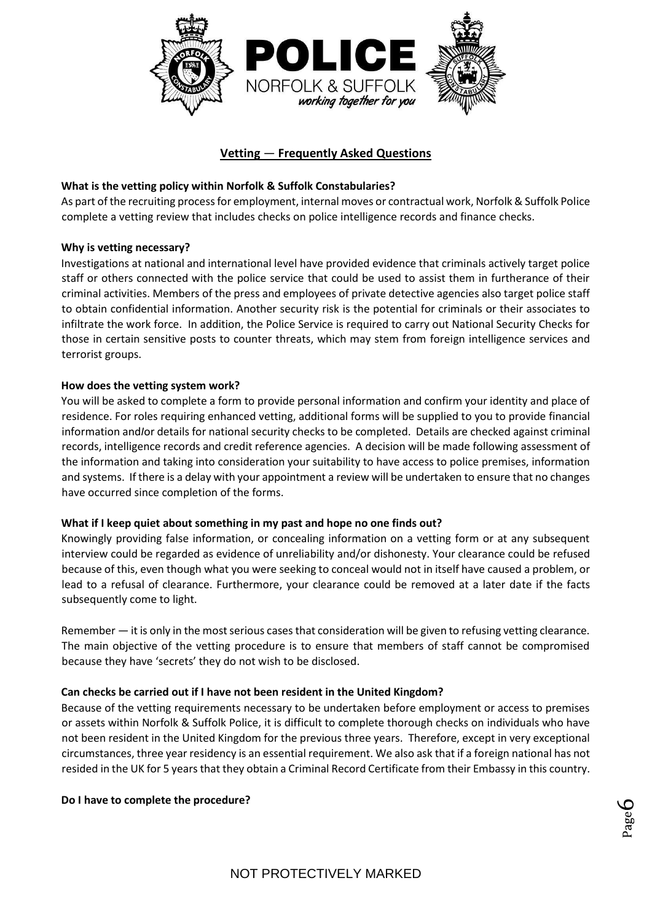

# **Vetting** — **Frequently Asked Questions**

# **What is the vetting policy within Norfolk & Suffolk Constabularies?**

As part of the recruiting process for employment, internal moves or contractual work, Norfolk & Suffolk Police complete a vetting review that includes checks on police intelligence records and finance checks.

# **Why is vetting necessary?**

Investigations at national and international level have provided evidence that criminals actively target police staff or others connected with the police service that could be used to assist them in furtherance of their criminal activities. Members of the press and employees of private detective agencies also target police staff to obtain confidential information. Another security risk is the potential for criminals or their associates to infiltrate the work force. In addition, the Police Service is required to carry out National Security Checks for those in certain sensitive posts to counter threats, which may stem from foreign intelligence services and terrorist groups.

## **How does the vetting system work?**

You will be asked to complete a form to provide personal information and confirm your identity and place of residence. For roles requiring enhanced vetting, additional forms will be supplied to you to provide financial information and*I*or details for national security checks to be completed. Details are checked against criminal records, intelligence records and credit reference agencies. A decision will be made following assessment of the information and taking into consideration your suitability to have access to police premises, information and systems. If there is a delay with your appointment a review will be undertaken to ensure that no changes have occurred since completion of the forms.

## **What if I keep quiet about something in my past and hope no one finds out?**

Knowingly providing false information, or concealing information on a vetting form or at any subsequent interview could be regarded as evidence of unreliability and/or dishonesty. Your clearance could be refused because of this, even though what you were seeking to conceal would not in itself have caused a problem, or lead to a refusal of clearance. Furthermore, your clearance could be removed at a later date if the facts subsequently come to light.

Remember — it is only in the most serious cases that consideration will be given to refusing vetting clearance. The main objective of the vetting procedure is to ensure that members of staff cannot be compromised because they have 'secrets' they do not wish to be disclosed.

## **Can checks be carried out if I have not been resident in the United Kingdom?**

Because of the vetting requirements necessary to be undertaken before employment or access to premises or assets within Norfolk & Suffolk Police, it is difficult to complete thorough checks on individuals who have not been resident in the United Kingdom for the previous three years. Therefore, except in very exceptional circumstances, three year residency is an essential requirement. We also ask that if a foreign national has not resided in the UK for 5 years that they obtain a Criminal Record Certificate from their Embassy in this country.

## **Do I have to complete the procedure?**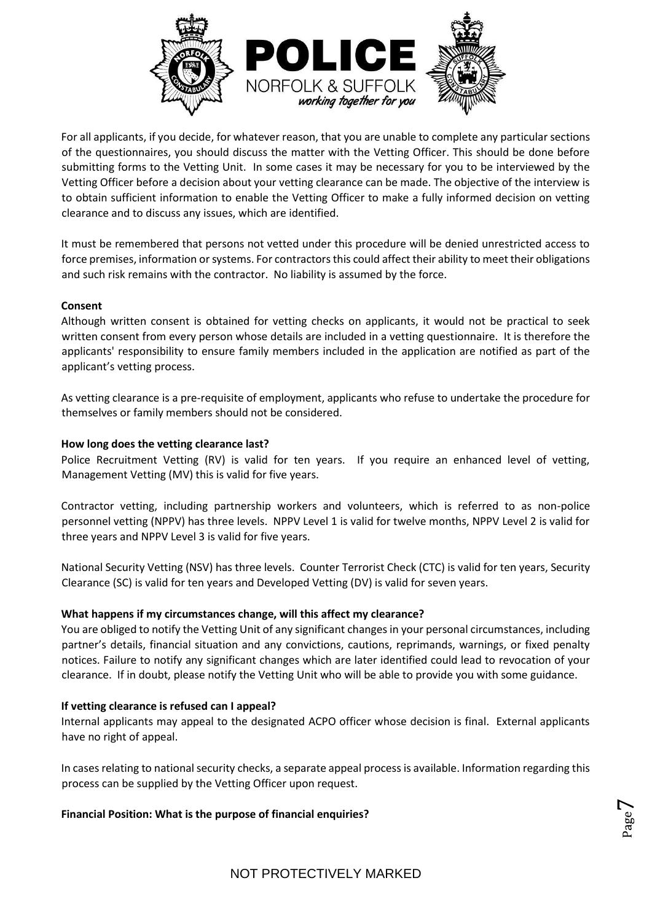

For all applicants, if you decide, for whatever reason, that you are unable to complete any particular sections of the questionnaires, you should discuss the matter with the Vetting Officer. This should be done before submitting forms to the Vetting Unit. In some cases it may be necessary for you to be interviewed by the Vetting Officer before a decision about your vetting clearance can be made. The objective of the interview is to obtain sufficient information to enable the Vetting Officer to make a fully informed decision on vetting clearance and to discuss any issues, which are identified.

It must be remembered that persons not vetted under this procedure will be denied unrestricted access to force premises, information or systems. For contractors this could affect their ability to meet their obligations and such risk remains with the contractor. No liability is assumed by the force.

# **Consent**

Although written consent is obtained for vetting checks on applicants, it would not be practical to seek written consent from every person whose details are included in a vetting questionnaire. It is therefore the applicants' responsibility to ensure family members included in the application are notified as part of the applicant's vetting process.

As vetting clearance is a pre-requisite of employment, applicants who refuse to undertake the procedure for themselves or family members should not be considered.

# **How long does the vetting clearance last?**

Police Recruitment Vetting (RV) is valid for ten years. If you require an enhanced level of vetting, Management Vetting (MV) this is valid for five years.

Contractor vetting, including partnership workers and volunteers, which is referred to as non-police personnel vetting (NPPV) has three levels. NPPV Level 1 is valid for twelve months, NPPV Level 2 is valid for three years and NPPV Level 3 is valid for five years.

National Security Vetting (NSV) has three levels. Counter Terrorist Check (CTC) is valid for ten years, Security Clearance (SC) is valid for ten years and Developed Vetting (DV) is valid for seven years.

## **What happens if my circumstances change, will this affect my clearance?**

You are obliged to notify the Vetting Unit of any significant changes in your personal circumstances, including partner's details, financial situation and any convictions, cautions, reprimands, warnings, or fixed penalty notices. Failure to notify any significant changes which are later identified could lead to revocation of your clearance. If in doubt, please notify the Vetting Unit who will be able to provide you with some guidance.

## **If vetting clearance is refused can I appeal?**

Internal applicants may appeal to the designated ACPO officer whose decision is final. External applicants have no right of appeal.

In cases relating to national security checks, a separate appeal process is available. Information regarding this process can be supplied by the Vetting Officer upon request.

**Financial Position: What is the purpose of financial enquiries?**